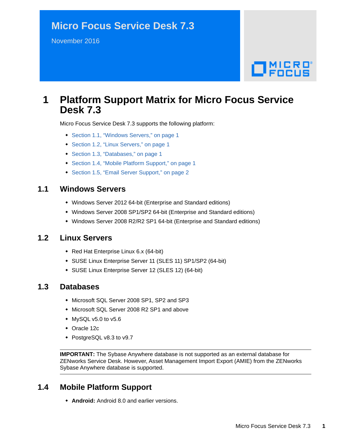November 2016



# **1 Platform Support Matrix for Micro Focus Service Desk 7.3**

Micro Focus Service Desk 7.3 supports the following platform:

- [Section 1.1, "Windows Servers," on page 1](#page-0-0)
- [Section 1.2, "Linux Servers," on page 1](#page-0-1)
- [Section 1.3, "Databases," on page 1](#page-0-2)
- [Section 1.4, "Mobile Platform Support," on page 1](#page-0-3)
- [Section 1.5, "Email Server Support," on page 2](#page-1-0)

#### <span id="page-0-0"></span>**1.1 Windows Servers**

- Windows Server 2012 64-bit (Enterprise and Standard editions)
- Windows Server 2008 SP1/SP2 64-bit (Enterprise and Standard editions)
- Windows Server 2008 R2/R2 SP1 64-bit (Enterprise and Standard editions)

#### <span id="page-0-1"></span>**1.2 Linux Servers**

- Red Hat Enterprise Linux 6.x (64-bit)
- SUSE Linux Enterprise Server 11 (SLES 11) SP1/SP2 (64-bit)
- SUSE Linux Enterprise Server 12 (SLES 12) (64-bit)

#### <span id="page-0-2"></span>**1.3 Databases**

- Microsoft SQL Server 2008 SP1, SP2 and SP3
- Microsoft SQL Server 2008 R2 SP1 and above
- $*$  MySQL v5.0 to v5.6
- Oracle 12c
- PostgreSQL v8.3 to v9.7

**IMPORTANT:** The Sybase Anywhere database is not supported as an external database for ZENworks Service Desk. However, Asset Management Import Export (AMIE) from the ZENworks Sybase Anywhere database is supported.

### <span id="page-0-3"></span>**1.4 Mobile Platform Support**

**Android:** Android 8.0 and earlier versions.